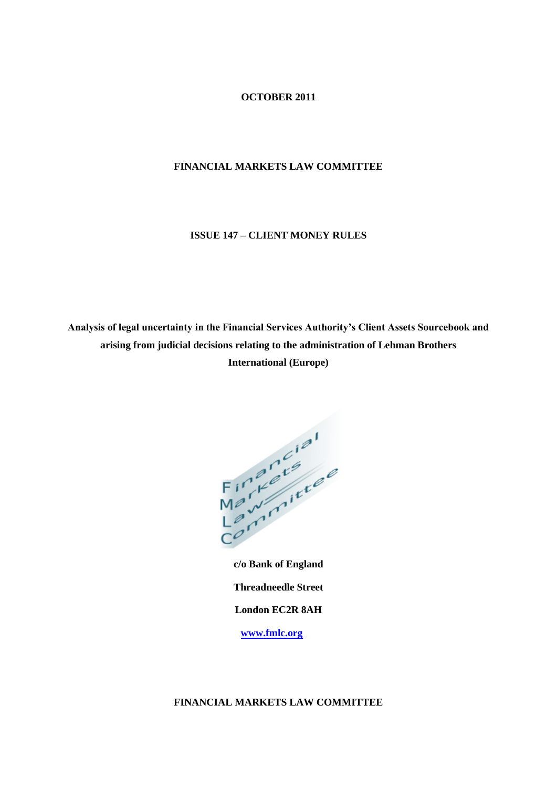# **OCTOBER 2011**

## **FINANCIAL MARKETS LAW COMMITTEE**

# **ISSUE 147 – CLIENT MONEY RULES**

**Analysis of legal uncertainty in the Financial Services Authority's Client Assets Sourcebook and arising from judicial decisions relating to the administration of Lehman Brothers International (Europe)**



**c/o Bank of England Threadneedle Street London EC2R 8AH [www.fmlc.org](http://www.fmlc.org/)**

# **FINANCIAL MARKETS LAW COMMITTEE**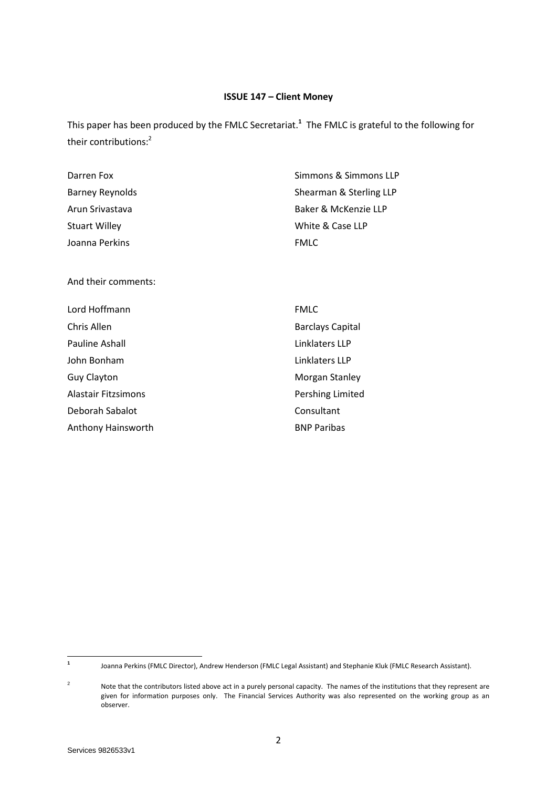# **ISSUE 147 – Client Money**

This paper has been produced by the FMLC Secretariat.**<sup>1</sup>** The FMLC is grateful to the following for their contributions:<sup>2</sup>

| Darren Fox           | Simmons & Simmons LLP   |
|----------------------|-------------------------|
| Barney Reynolds      | Shearman & Sterling LLP |
| Arun Srivastava      | Baker & McKenzie LLP    |
| <b>Stuart Willey</b> | White & Case LLP        |
| Joanna Perkins       | <b>FMLC</b>             |

And their comments:

| Lord Hoffmann       | <b>FMLC</b>             |
|---------------------|-------------------------|
| Chris Allen         | <b>Barclays Capital</b> |
| Pauline Ashall      | Linklaters LLP          |
| John Bonham         | Linklaters LLP          |
| <b>Guy Clayton</b>  | Morgan Stanley          |
| Alastair Fitzsimons | Pershing Limited        |
| Deborah Sabalot     | Consultant              |
| Anthony Hainsworth  | <b>BNP Paribas</b>      |

 **1** Joanna Perkins (FMLC Director), Andrew Henderson (FMLC Legal Assistant) and Stephanie Kluk (FMLC Research Assistant).

<sup>2</sup> Note that the contributors listed above act in a purely personal capacity. The names of the institutions that they represent are given for information purposes only. The Financial Services Authority was also represented on the working group as an observer.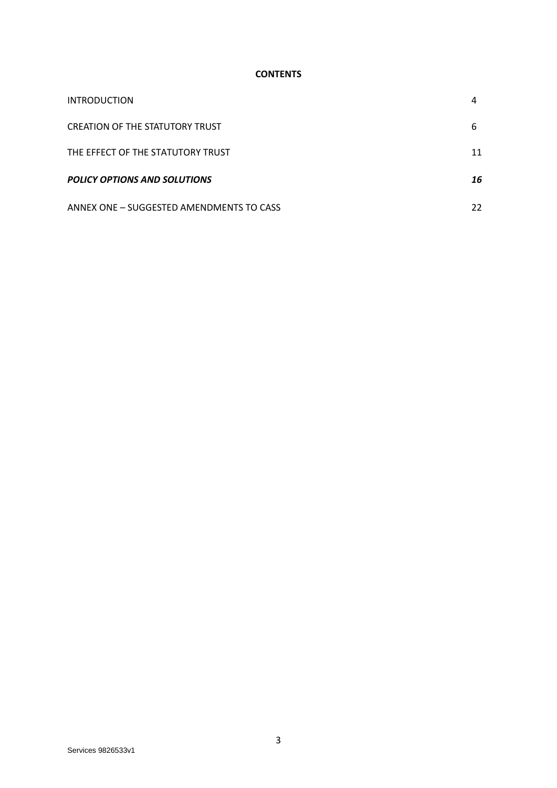## **CONTENTS**

| <b>INTRODUCTION</b>                      |    |
|------------------------------------------|----|
| <b>CREATION OF THE STATUTORY TRUST</b>   | 6  |
| THE EFFECT OF THE STATUTORY TRUST        | 11 |
| <b>POLICY OPTIONS AND SOLUTIONS</b>      | 16 |
| ANNEX ONE - SUGGESTED AMENDMENTS TO CASS | 22 |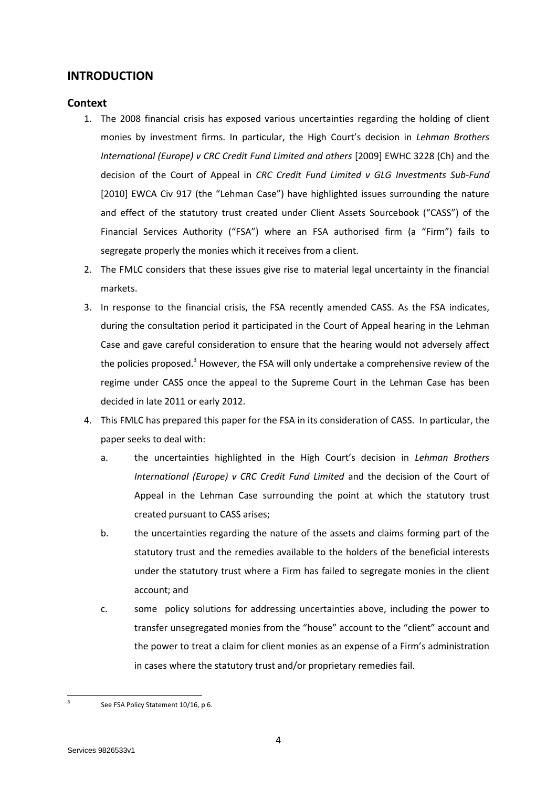# **INTRODUCTION**

# **Context**

- 1. The 2008 financial crisis has exposed various uncertainties regarding the holding of client monies by investment firms. In particular, the High Court's decision in *Lehman Brothers International (Europe) v CRC Credit Fund Limited and others* [2009] EWHC 3228 (Ch) and the decision of the Court of Appeal in *CRC Credit Fund Limited v GLG Investments Sub-Fund* [2010] EWCA Civ 917 (the "Lehman Case") have highlighted issues surrounding the nature and effect of the statutory trust created under Client Assets Sourcebook ("CASS") of the Financial Services Authority ("FSA") where an FSA authorised firm (a "Firm") fails to segregate properly the monies which it receives from a client.
- 2. The FMLC considers that these issues give rise to material legal uncertainty in the financial markets.
- 3. In response to the financial crisis, the FSA recently amended CASS. As the FSA indicates, during the consultation period it participated in the Court of Appeal hearing in the Lehman Case and gave careful consideration to ensure that the hearing would not adversely affect the policies proposed.<sup>3</sup> However, the FSA will only undertake a comprehensive review of the regime under CASS once the appeal to the Supreme Court in the Lehman Case has been decided in late 2011 or early 2012.
- 4. This FMLC has prepared this paper for the FSA in its consideration of CASS. In particular, the paper seeks to deal with:
	- a. the uncertainties highlighted in the High Court's decision in *Lehman Brothers International (Europe) v CRC Credit Fund Limited* and the decision of the Court of Appeal in the Lehman Case surrounding the point at which the statutory trust created pursuant to CASS arises;
	- b. the uncertainties regarding the nature of the assets and claims forming part of the statutory trust and the remedies available to the holders of the beneficial interests under the statutory trust where a Firm has failed to segregate monies in the client account; and
	- c. some policy solutions for addressing uncertainties above, including the power to transfer unsegregated monies from the "house" account to the "client" account and the power to treat a claim for client monies as an expense of a Firm's administration in cases where the statutory trust and/or proprietary remedies fail.

 $\frac{1}{3}$ 

See FSA Policy Statement 10/16, p 6.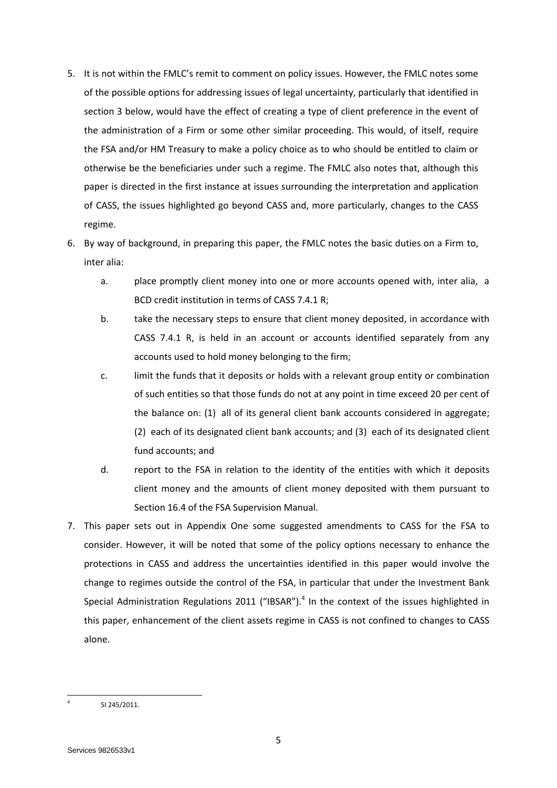- 5. It is not within the FMLC's remit to comment on policy issues. However, the FMLC notes some of the possible options for addressing issues of legal uncertainty, particularly that identified in section 3 below, would have the effect of creating a type of client preference in the event of the administration of a Firm or some other similar proceeding. This would, of itself, require the FSA and/or HM Treasury to make a policy choice as to who should be entitled to claim or otherwise be the beneficiaries under such a regime. The FMLC also notes that, although this paper is directed in the first instance at issues surrounding the interpretation and application of CASS, the issues highlighted go beyond CASS and, more particularly, changes to the CASS regime.
- 6. By way of background, in preparing this paper, the FMLC notes the basic duties on a Firm to, inter alia:
	- a. place promptly client [money](http://fsahandbook.info/FSA/glossary-html/handbook/Glossary/M?definition=G725) into one or more accounts opened with, inter alia, a [BCD credit institution](http://fsahandbook.info/FSA/glossary-html/handbook/Glossary/B?definition=G105) in terms of CASS 7.4.1 R;
	- b. take the necessary steps to ensure that [client money](http://fsahandbook.info/FSA/glossary-html/handbook/Glossary/C?definition=G160) deposited, in accordance with [CASS 7.4.1](http://fsahandbook.info/FSA/html/handbook/CASS/7/4#DES87) R, is held in an account or accounts identified separately from any accounts used to hold [money](http://fsahandbook.info/FSA/glossary-html/handbook/Glossary/M?definition=G725) belonging to th[e firm;](http://fsahandbook.info/FSA/glossary-html/handbook/Glossary/F?definition=G430)
	- c. limit the funds that it deposits or holds with a relevant group entity or combination of such entities so that those funds do not at any point in time exceed 20 per cent of the balance on: (1) all of its [general client bank accounts](http://fsahandbook.info/FSA/glossary-html/handbook/Glossary/G?definition=G466) considered in aggregate; (2) each of its [designated client bank accounts;](http://fsahandbook.info/FSA/glossary-html/handbook/Glossary/D?definition=G280) and (3) each of its [designated client](http://fsahandbook.info/FSA/glossary-html/handbook/Glossary/D?definition=G281)  [fund accounts;](http://fsahandbook.info/FSA/glossary-html/handbook/Glossary/D?definition=G281) and
	- d. report to the [FSA](http://fsahandbook.info/FSA/glossary-html/handbook/Glossary/F?definition=G447) in relation to the identity of the entities with which it deposits [client money](http://fsahandbook.info/FSA/glossary-html/handbook/Glossary/C?definition=G160) and the amounts of [client money](http://fsahandbook.info/FSA/glossary-html/handbook/Glossary/C?definition=G160) deposited with them pursuant to Section 16.4 of the FSA Supervision Manual.
- 7. This paper sets out in Appendix One some suggested amendments to CASS for the FSA to consider. However, it will be noted that some of the policy options necessary to enhance the protections in CASS and address the uncertainties identified in this paper would involve the change to regimes outside the control of the FSA, in particular that under the Investment Bank Special Administration Regulations 2011 ("IBSAR"). $4$  In the context of the issues highlighted in this paper, enhancement of the client assets regime in CASS is not confined to changes to CASS alone.

 $\overline{\phantom{a}}$ 4

SI 245/2011.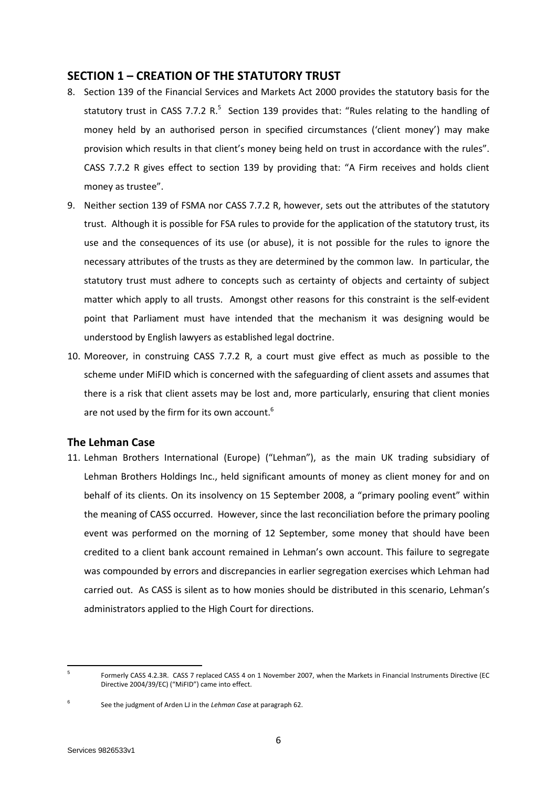# **SECTION 1 – CREATION OF THE STATUTORY TRUST**

- 8. Section 139 of the Financial Services and Markets Act 2000 provides the statutory basis for the statutory trust in CASS 7.7.2 R. $^5$  Section 139 provides that: "Rules relating to the handling of money held by an authorised person in specified circumstances ('client money') may make provision which results in that client's money being held on trust in accordance with the rules". CASS 7.7.2 R gives effect to section 139 by providing that: "A Firm receives and holds client money as trustee".
- 9. Neither section 139 of FSMA nor CASS 7.7.2 R, however, sets out the attributes of the statutory trust. Although it is possible for FSA rules to provide for the application of the statutory trust, its use and the consequences of its use (or abuse), it is not possible for the rules to ignore the necessary attributes of the trusts as they are determined by the common law. In particular, the statutory trust must adhere to concepts such as certainty of objects and certainty of subject matter which apply to all trusts. Amongst other reasons for this constraint is the self-evident point that Parliament must have intended that the mechanism it was designing would be understood by English lawyers as established legal doctrine.
- 10. Moreover, in construing CASS 7.7.2 R, a court must give effect as much as possible to the scheme under MiFID which is concerned with the safeguarding of client assets and assumes that there is a risk that client assets may be lost and, more particularly, ensuring that client monies are not used by the firm for its own account.<sup>6</sup>

## **The Lehman Case**

11. Lehman Brothers International (Europe) ("Lehman"), as the main UK trading subsidiary of Lehman Brothers Holdings Inc., held significant amounts of money as client money for and on behalf of its clients. On its insolvency on 15 September 2008, a "primary pooling event" within the meaning of CASS occurred. However, since the last reconciliation before the primary pooling event was performed on the morning of 12 September, some money that should have been credited to a client bank account remained in Lehman's own account. This failure to segregate was compounded by errors and discrepancies in earlier segregation exercises which Lehman had carried out. As CASS is silent as to how monies should be distributed in this scenario, Lehman's administrators applied to the High Court for directions.

1

<sup>5</sup> Formerly CASS 4.2.3R. CASS 7 replaced CASS 4 on 1 November 2007, when the Markets in Financial Instruments Directive (EC Directive 2004/39/EC) ("MiFID") came into effect.

<sup>6</sup> See the judgment of Arden LJ in the *Lehman Case* at paragraph 62.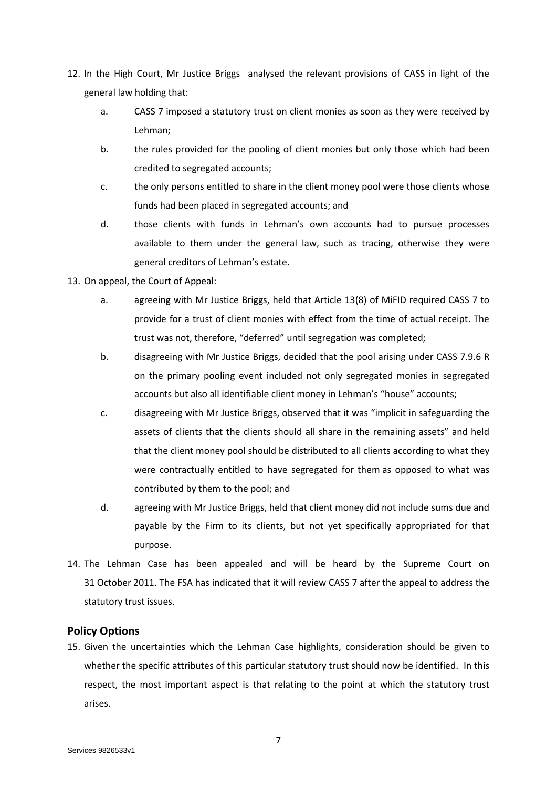- 12. In the High Court, Mr Justice Briggs analysed the relevant provisions of CASS in light of the general law holding that:
	- a. CASS 7 imposed a statutory trust on client monies as soon as they were received by Lehman;
	- b. the rules provided for the pooling of client monies but only those which had been credited to segregated accounts;
	- c. the only persons entitled to share in the client money pool were those clients whose funds had been placed in segregated accounts; and
	- d. those clients with funds in Lehman's own accounts had to pursue processes available to them under the general law, such as tracing, otherwise they were general creditors of Lehman's estate.
- 13. On appeal, the Court of Appeal:
	- a. agreeing with Mr Justice Briggs, held that Article 13(8) of MiFID required CASS 7 to provide for a trust of client monies with effect from the time of actual receipt. The trust was not, therefore, "deferred" until segregation was completed;
	- b. disagreeing with Mr Justice Briggs, decided that the pool arising under CASS 7.9.6 R on the primary pooling event included not only segregated monies in segregated accounts but also all identifiable client money in Lehman's "house" accounts;
	- c. disagreeing with Mr Justice Briggs, observed that it was "implicit in safeguarding the assets of clients that the clients should all share in the remaining assets" and held that the client money pool should be distributed to all clients according to what they were contractually entitled to have segregated for them as opposed to what was contributed by them to the pool; and
	- d. agreeing with Mr Justice Briggs, held that client money did not include sums due and payable by the Firm to its clients, but not yet specifically appropriated for that purpose.
- 14. The Lehman Case has been appealed and will be heard by the Supreme Court on 31 October 2011. The FSA has indicated that it will review CASS 7 after the appeal to address the statutory trust issues.

# **Policy Options**

15. Given the uncertainties which the Lehman Case highlights, consideration should be given to whether the specific attributes of this particular statutory trust should now be identified. In this respect, the most important aspect is that relating to the point at which the statutory trust arises.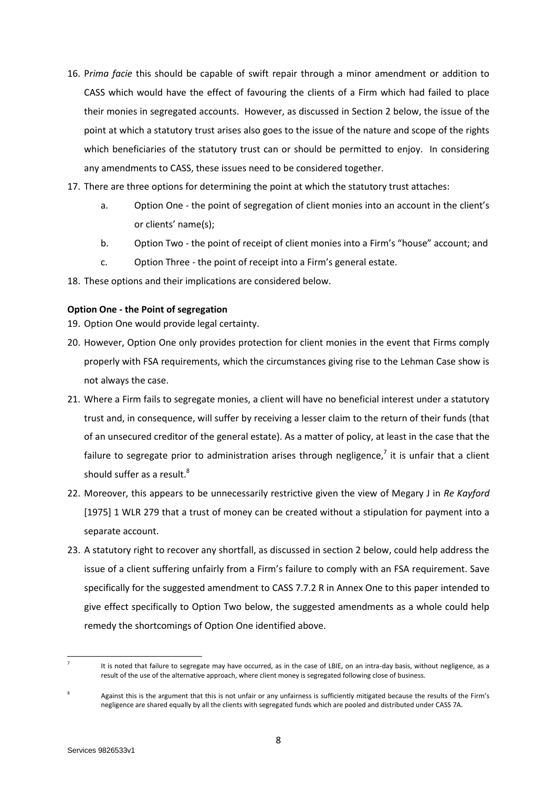- 16. P*rima facie* this should be capable of swift repair through a minor amendment or addition to CASS which would have the effect of favouring the clients of a Firm which had failed to place their monies in segregated accounts. However, as discussed in Section 2 below, the issue of the point at which a statutory trust arises also goes to the issue of the nature and scope of the rights which beneficiaries of the statutory trust can or should be permitted to enjoy. In considering any amendments to CASS, these issues need to be considered together.
- 17. There are three options for determining the point at which the statutory trust attaches:
	- a. Option One the point of segregation of client monies into an account in the client's or clients' name(s);
	- b. Option Two the point of receipt of client monies into a Firm's "house" account; and
	- c. Option Three the point of receipt into a Firm's general estate.
- 18. These options and their implications are considered below.

## **Option One - the Point of segregation**

19. Option One would provide legal certainty.

- 20. However, Option One only provides protection for client monies in the event that Firms comply properly with FSA requirements, which the circumstances giving rise to the Lehman Case show is not always the case.
- 21. Where a Firm fails to segregate monies, a client will have no beneficial interest under a statutory trust and, in consequence, will suffer by receiving a lesser claim to the return of their funds (that of an unsecured creditor of the general estate). As a matter of policy, at least in the case that the failure to segregate prior to administration arises through negligence,<sup>7</sup> it is unfair that a client should suffer as a result.<sup>8</sup>
- 22. Moreover, this appears to be unnecessarily restrictive given the view of Megary J in *Re Kayford* [1975] 1 WLR 279 that a trust of money can be created without a stipulation for payment into a separate account.
- 23. A statutory right to recover any shortfall, as discussed in section 2 below, could help address the issue of a client suffering unfairly from a Firm's failure to comply with an FSA requirement. Save specifically for the suggested amendment to CASS 7.7.2 R in Annex One to this paper intended to give effect specifically to Option Two below, the suggested amendments as a whole could help remedy the shortcomings of Option One identified above.

**<sup>.</sup>** 7

It is noted that failure to segregate may have occurred, as in the case of LBIE, on an intra-day basis, without negligence, as a result of the use of the alternative approach, where client money is segregated following close of business.

<sup>8</sup> Against this is the argument that this is not unfair or any unfairness is sufficiently mitigated because the results of the Firm's negligence are shared equally by all the clients with segregated funds which are pooled and distributed under CASS 7A.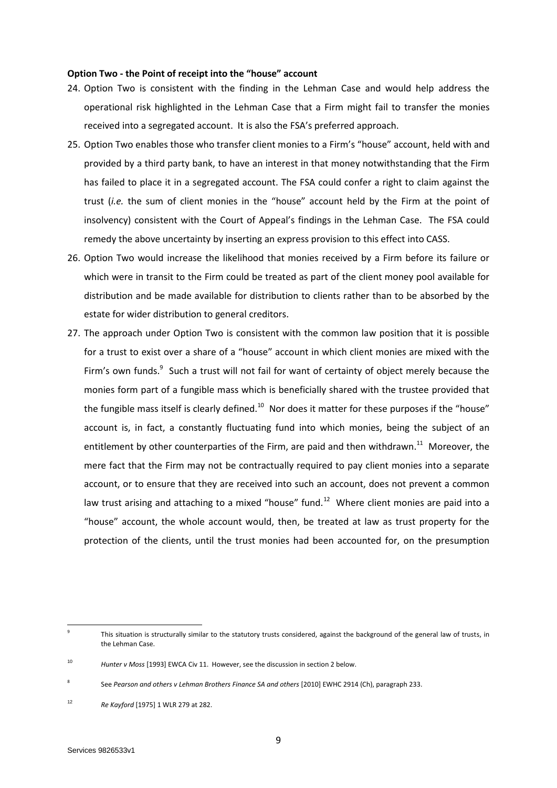#### **Option Two - the Point of receipt into the "house" account**

- 24. Option Two is consistent with the finding in the Lehman Case and would help address the operational risk highlighted in the Lehman Case that a Firm might fail to transfer the monies received into a segregated account. It is also the FSA's preferred approach.
- 25. Option Two enables those who transfer client monies to a Firm's "house" account, held with and provided by a third party bank, to have an interest in that money notwithstanding that the Firm has failed to place it in a segregated account. The FSA could confer a right to claim against the trust (*i.e.* the sum of client monies in the "house" account held by the Firm at the point of insolvency) consistent with the Court of Appeal's findings in the Lehman Case. The FSA could remedy the above uncertainty by inserting an express provision to this effect into CASS.
- 26. Option Two would increase the likelihood that monies received by a Firm before its failure or which were in transit to the Firm could be treated as part of the client money pool available for distribution and be made available for distribution to clients rather than to be absorbed by the estate for wider distribution to general creditors.
- 27. The approach under Option Two is consistent with the common law position that it is possible for a trust to exist over a share of a "house" account in which client monies are mixed with the Firm's own funds.<sup>9</sup> Such a trust will not fail for want of certainty of object merely because the monies form part of a fungible mass which is beneficially shared with the trustee provided that the fungible mass itself is clearly defined.<sup>10</sup> Nor does it matter for these purposes if the "house" account is, in fact, a constantly fluctuating fund into which monies, being the subject of an entitlement by other counterparties of the Firm, are paid and then withdrawn.<sup>11</sup> Moreover, the mere fact that the Firm may not be contractually required to pay client monies into a separate account, or to ensure that they are received into such an account, does not prevent a common law trust arising and attaching to a mixed "house" fund. $12$  Where client monies are paid into a "house" account, the whole account would, then, be treated at law as trust property for the protection of the clients, until the trust monies had been accounted for, on the presumption

**.** 

<sup>9</sup> This situation is structurally similar to the statutory trusts considered, against the background of the general law of trusts, in the Lehman Case.

<sup>10</sup> *Hunter v Moss* [1993] EWCA Civ 11. However, see the discussion in section 2 below.

<sup>8</sup> See *Pearson and others v Lehman Brothers Finance SA and others* [2010] EWHC 2914 (Ch), paragraph 233.

<sup>12</sup> *Re Kayford* [1975] 1 WLR 279 at 282.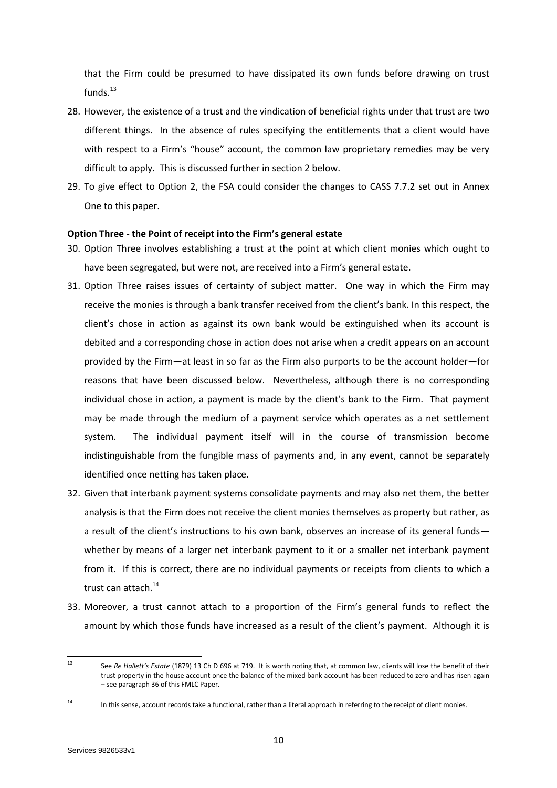that the Firm could be presumed to have dissipated its own funds before drawing on trust funds. $13$ 

- 28. However, the existence of a trust and the vindication of beneficial rights under that trust are two different things. In the absence of rules specifying the entitlements that a client would have with respect to a Firm's "house" account, the common law proprietary remedies may be very difficult to apply. This is discussed further in section 2 below.
- 29. To give effect to Option 2, the FSA could consider the changes to CASS 7.7.2 set out in Annex One to this paper.

#### **Option Three - the Point of receipt into the Firm's general estate**

- 30. Option Three involves establishing a trust at the point at which client monies which ought to have been segregated, but were not, are received into a Firm's general estate.
- <span id="page-9-0"></span>31. Option Three raises issues of certainty of subject matter. One way in which the Firm may receive the monies is through a bank transfer received from the client's bank. In this respect, the client's chose in action as against its own bank would be extinguished when its account is debited and a corresponding chose in action does not arise when a credit appears on an account provided by the Firm—at least in so far as the Firm also purports to be the account holder—for reasons that have been discussed below. Nevertheless, although there is no corresponding individual chose in action, a payment is made by the client's bank to the Firm. That payment may be made through the medium of a payment service which operates as a net settlement system. The individual payment itself will in the course of transmission become indistinguishable from the fungible mass of payments and, in any event, cannot be separately identified once netting has taken place.
- 32. Given that interbank payment systems consolidate payments and may also net them, the better analysis is that the Firm does not receive the client monies themselves as property but rather, as a result of the client's instructions to his own bank, observes an increase of its general funds whether by means of a larger net interbank payment to it or a smaller net interbank payment from it. If this is correct, there are no individual payments or receipts from clients to which a trust can attach.<sup>14</sup>
- <span id="page-9-1"></span>33. Moreover, a trust cannot attach to a proportion of the Firm's general funds to reflect the amount by which those funds have increased as a result of the client's payment. Although it is

 $13$ <sup>13</sup> See *Re Hallett's Estate* (1879) 13 Ch D 696 at 719. It is worth noting that, at common law, clients will lose the benefit of their trust property in the house account once the balance of the mixed bank account has been reduced to zero and has risen again – see paragraph 36 of this FMLC Paper.

<sup>14</sup> In this sense, account records take a functional, rather than a literal approach in referring to the receipt of client monies.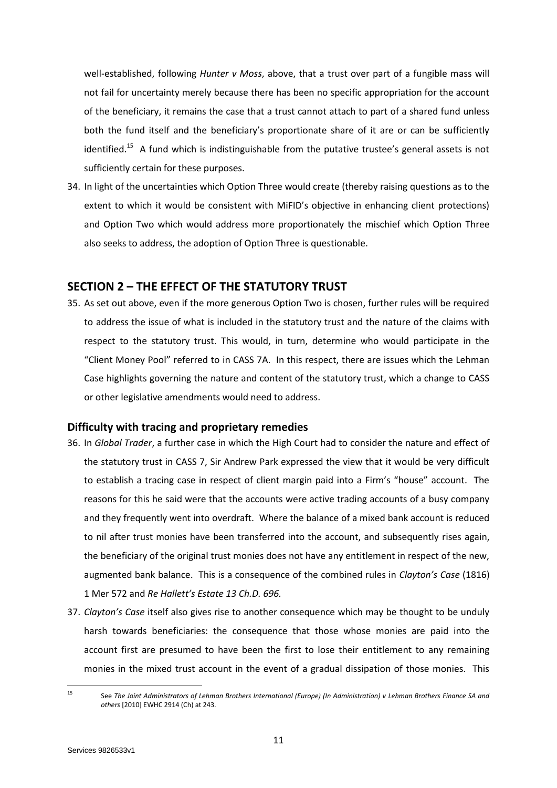well-established, following *Hunter v Moss*, above, that a trust over part of a fungible mass will not fail for uncertainty merely because there has been no specific appropriation for the account of the beneficiary, it remains the case that a trust cannot attach to part of a shared fund unless both the fund itself and the beneficiary's proportionate share of it are or can be sufficiently identified.<sup>15</sup> A fund which is indistinguishable from the putative trustee's general assets is not sufficiently certain for these purposes.

34. In light of the uncertainties which Option Three would create (thereby raising questions as to the extent to which it would be consistent with MiFID's objective in enhancing client protections) and Option Two which would address more proportionately the mischief which Option Three also seeks to address, the adoption of Option Three is questionable.

# **SECTION 2 – THE EFFECT OF THE STATUTORY TRUST**

35. As set out above, even if the more generous Option Two is chosen, further rules will be required to address the issue of what is included in the statutory trust and the nature of the claims with respect to the statutory trust. This would, in turn, determine who would participate in the "Client Money Pool" referred to in CASS 7A. In this respect, there are issues which the Lehman Case highlights governing the nature and content of the statutory trust, which a change to CASS or other legislative amendments would need to address.

# **Difficulty with tracing and proprietary remedies**

- 36. In *Global Trader*, a further case in which the High Court had to consider the nature and effect of the statutory trust in CASS 7, Sir Andrew Park expressed the view that it would be very difficult to establish a tracing case in respect of client margin paid into a Firm's "house" account. The reasons for this he said were that the accounts were active trading accounts of a busy company and they frequently went into overdraft. Where the balance of a mixed bank account is reduced to nil after trust monies have been transferred into the account, and subsequently rises again, the beneficiary of the original trust monies does not have any entitlement in respect of the new, augmented bank balance. This is a consequence of the combined rules in *Clayton's Case* (1816) 1 Mer 572 and *Re Hallett's Estate 13 Ch.D. 696.*
- 37. *Clayton's Case* itself also gives rise to another consequence which may be thought to be unduly harsh towards beneficiaries: the consequence that those whose monies are paid into the account first are presumed to have been the first to lose their entitlement to any remaining monies in the mixed trust account in the event of a gradual dissipation of those monies. This

 $15$ 

<sup>15</sup> See *The Joint Administrators of Lehman Brothers International (Europe) (In Administration) v Lehman Brothers Finance SA and others* [2010] EWHC 2914 (Ch) at 243.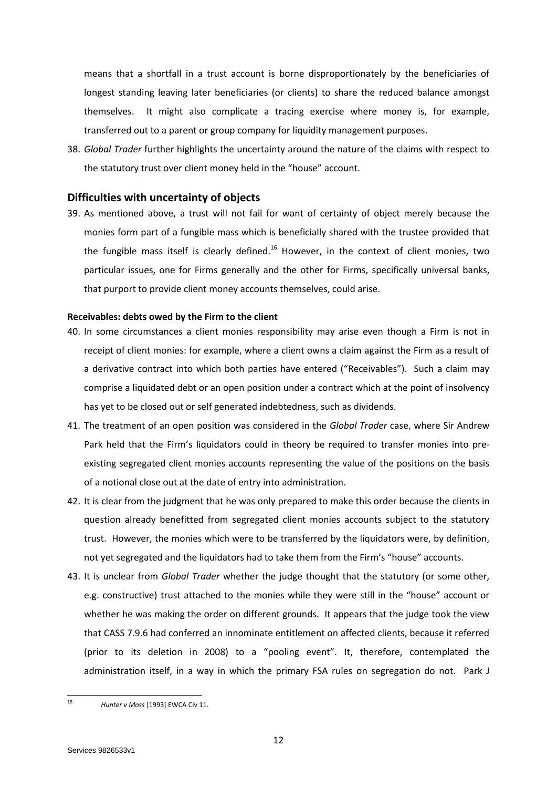means that a shortfall in a trust account is borne disproportionately by the beneficiaries of longest standing leaving later beneficiaries (or clients) to share the reduced balance amongst themselves. It might also complicate a tracing exercise where money is, for example, transferred out to a parent or group company for liquidity management purposes.

38. *Global Trader* further highlights the uncertainty around the nature of the claims with respect to the statutory trust over client money held in the "house" account.

## **Difficulties with uncertainty of objects**

39. As mentioned above, a trust will not fail for want of certainty of object merely because the monies form part of a fungible mass which is beneficially shared with the trustee provided that the fungible mass itself is clearly defined.<sup>16</sup> However, in the context of client monies, two particular issues, one for Firms generally and the other for Firms, specifically universal banks, that purport to provide client money accounts themselves, could arise.

#### **Receivables: debts owed by the Firm to the client**

- 40. In some circumstances a client monies responsibility may arise even though a Firm is not in receipt of client monies: for example, where a client owns a claim against the Firm as a result of a derivative contract into which both parties have entered ("Receivables"). Such a claim may comprise a liquidated debt or an open position under a contract which at the point of insolvency has yet to be closed out or self generated indebtedness, such as dividends.
- 41. The treatment of an open position was considered in the *Global Trader* case, where Sir Andrew Park held that the Firm's liquidators could in theory be required to transfer monies into preexisting segregated client monies accounts representing the value of the positions on the basis of a notional close out at the date of entry into administration.
- 42. It is clear from the judgment that he was only prepared to make this order because the clients in question already benefitted from segregated client monies accounts subject to the statutory trust. However, the monies which were to be transferred by the liquidators were, by definition, not yet segregated and the liquidators had to take them from the Firm's "house" accounts.
- 43. It is unclear from *Global Trader* whether the judge thought that the statutory (or some other, e.g. constructive) trust attached to the monies while they were still in the "house" account or whether he was making the order on different grounds. It appears that the judge took the view that CASS 7.9.6 had conferred an innominate entitlement on affected clients, because it referred (prior to its deletion in 2008) to a "pooling event". It, therefore, contemplated the administration itself, in a way in which the primary FSA rules on segregation do not. Park J

 $16$ 

<sup>16</sup> *Hunter v Moss* [1993] EWCA Civ 11.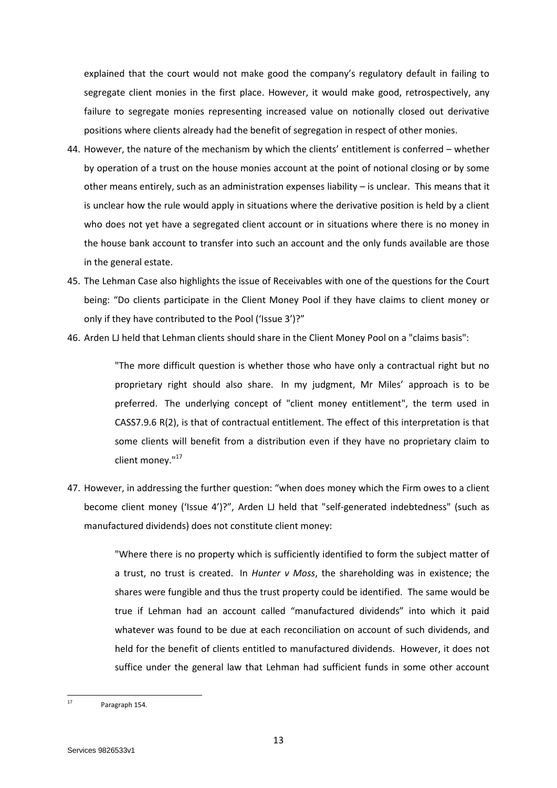explained that the court would not make good the company's regulatory default in failing to segregate client monies in the first place. However, it would make good, retrospectively, any failure to segregate monies representing increased value on notionally closed out derivative positions where clients already had the benefit of segregation in respect of other monies.

- 44. However, the nature of the mechanism by which the clients' entitlement is conferred whether by operation of a trust on the house monies account at the point of notional closing or by some other means entirely, such as an administration expenses liability – is unclear. This means that it is unclear how the rule would apply in situations where the derivative position is held by a client who does not yet have a segregated client account or in situations where there is no money in the house bank account to transfer into such an account and the only funds available are those in the general estate.
- 45. The Lehman Case also highlights the issue of Receivables with one of the questions for the Court being: "Do clients participate in the Client Money Pool if they have claims to client money or only if they have contributed to the Pool ('Issue 3')?"
- 46. Arden LJ held that Lehman clients should share in the Client Money Pool on a "claims basis":

"The more difficult question is whether those who have only a contractual right but no proprietary right should also share. In my judgment, Mr Miles' approach is to be preferred. The underlying concept of "client money entitlement", the term used in CASS7.9.6 R(2), is that of contractual entitlement. The effect of this interpretation is that some clients will benefit from a distribution even if they have no proprietary claim to client money."<sup>17</sup>

47. However, in addressing the further question: "when does money which the Firm owes to a client become client money ('Issue 4')?", Arden LJ held that "self-generated indebtedness" (such as manufactured dividends) does not constitute client money:

> "Where there is no property which is sufficiently identified to form the subject matter of a trust, no trust is created. In *Hunter v Moss*, the shareholding was in existence; the shares were fungible and thus the trust property could be identified. The same would be true if Lehman had an account called "manufactured dividends" into which it paid whatever was found to be due at each reconciliation on account of such dividends, and held for the benefit of clients entitled to manufactured dividends. However, it does not suffice under the general law that Lehman had sufficient funds in some other account

 $17$ Paragraph 154.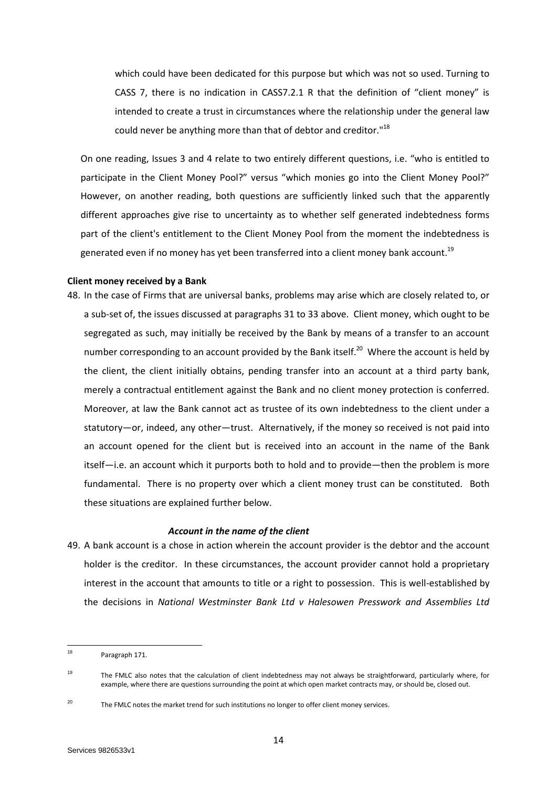which could have been dedicated for this purpose but which was not so used. Turning to CASS 7, there is no indication in CASS7.2.1 R that the definition of "client money" is intended to create a trust in circumstances where the relationship under the general law could never be anything more than that of debtor and creditor."<sup>18</sup>

On one reading, Issues 3 and 4 relate to two entirely different questions, i.e. "who is entitled to participate in the Client Money Pool?" versus "which monies go into the Client Money Pool?" However, on another reading, both questions are sufficiently linked such that the apparently different approaches give rise to uncertainty as to whether self generated indebtedness forms part of the client's entitlement to the Client Money Pool from the moment the indebtedness is generated even if no money has yet been transferred into a client money bank account.<sup>19</sup>

#### **Client money received by a Bank**

48. In the case of Firms that are universal banks, problems may arise which are closely related to, or a sub-set of, the issues discussed at paragraph[s 31](#page-9-0) to [33](#page-9-1) above. Client money, which ought to be segregated as such, may initially be received by the Bank by means of a transfer to an account number corresponding to an account provided by the Bank itself.<sup>20</sup> Where the account is held by the client, the client initially obtains, pending transfer into an account at a third party bank, merely a contractual entitlement against the Bank and no client money protection is conferred. Moreover, at law the Bank cannot act as trustee of its own indebtedness to the client under a statutory―or, indeed, any other―trust. Alternatively, if the money so received is not paid into an account opened for the client but is received into an account in the name of the Bank itself―i.e. an account which it purports both to hold and to provide―then the problem is more fundamental. There is no property over which a client money trust can be constituted. Both these situations are explained further below.

#### *Account in the name of the client*

49. A bank account is a chose in action wherein the account provider is the debtor and the account holder is the creditor. In these circumstances, the account provider cannot hold a proprietary interest in the account that amounts to title or a right to possession. This is well-established by the decisions in *National Westminster Bank Ltd v Halesowen Presswork and Assemblies Ltd*

 $18$ Paragraph 171.

<sup>19</sup> The FMLC also notes that the calculation of client indebtedness may not always be straightforward, particularly where, for example, where there are questions surrounding the point at which open market contracts may, or should be, closed out.

<sup>&</sup>lt;sup>20</sup> The FMLC notes the market trend for such institutions no longer to offer client money services.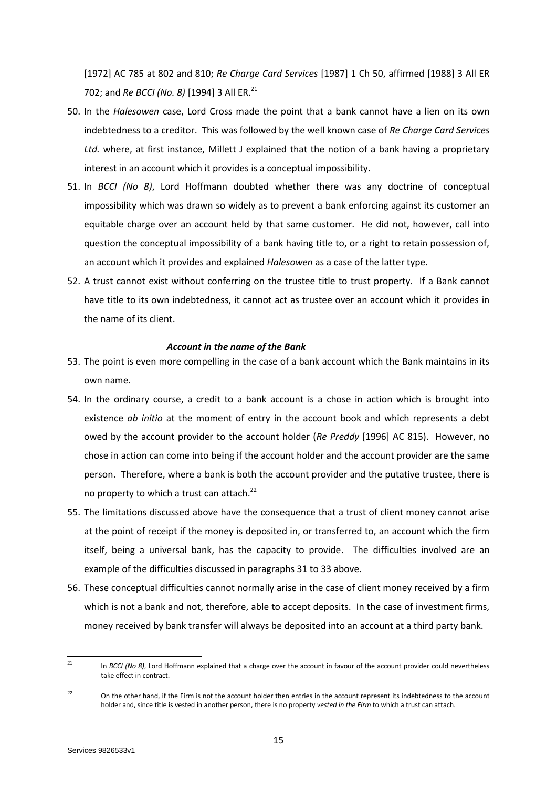[1972] AC 785 at 802 and 810; *Re Charge Card Services* [1987] 1 Ch 50, affirmed [1988] 3 All ER 702; and *Re BCCI (No. 8)* [1994] 3 All ER.<sup>21</sup>

- 50. In the *Halesowen* case, Lord Cross made the point that a bank cannot have a lien on its own indebtedness to a creditor. This was followed by the well known case of *Re Charge Card Services Ltd.* where, at first instance, Millett J explained that the notion of a bank having a proprietary interest in an account which it provides is a conceptual impossibility.
- 51. In *BCCI (No 8)*, Lord Hoffmann doubted whether there was any doctrine of conceptual impossibility which was drawn so widely as to prevent a bank enforcing against its customer an equitable charge over an account held by that same customer. He did not, however, call into question the conceptual impossibility of a bank having title to, or a right to retain possession of, an account which it provides and explained *Halesowen* as a case of the latter type.
- 52. A trust cannot exist without conferring on the trustee title to trust property. If a Bank cannot have title to its own indebtedness, it cannot act as trustee over an account which it provides in the name of its client.

#### *Account in the name of the Bank*

- 53. The point is even more compelling in the case of a bank account which the Bank maintains in its own name.
- 54. In the ordinary course, a credit to a bank account is a chose in action which is brought into existence *ab initio* at the moment of entry in the account book and which represents a debt owed by the account provider to the account holder (*Re Preddy* [1996] AC 815). However, no chose in action can come into being if the account holder and the account provider are the same person. Therefore, where a bank is both the account provider and the putative trustee, there is no property to which a trust can attach.<sup>22</sup>
- 55. The limitations discussed above have the consequence that a trust of client money cannot arise at the point of receipt if the money is deposited in, or transferred to, an account which the firm itself, being a universal bank, has the capacity to provide. The difficulties involved are an example of the difficulties discussed in paragraph[s 31](#page-9-0) to [33](#page-9-1) above.
- 56. These conceptual difficulties cannot normally arise in the case of client money received by a firm which is not a bank and not, therefore, able to accept deposits. In the case of investment firms, money received by bank transfer will always be deposited into an account at a third party bank.

<sup>21</sup> In *BCCI (No 8)*, Lord Hoffmann explained that a charge over the account in favour of the account provider could nevertheless take effect in contract.

<sup>&</sup>lt;sup>22</sup> On the other hand, if the Firm is not the account holder then entries in the account represent its indebtedness to the account holder and, since title is vested in another person, there is no property *vested in the Firm* to which a trust can attach.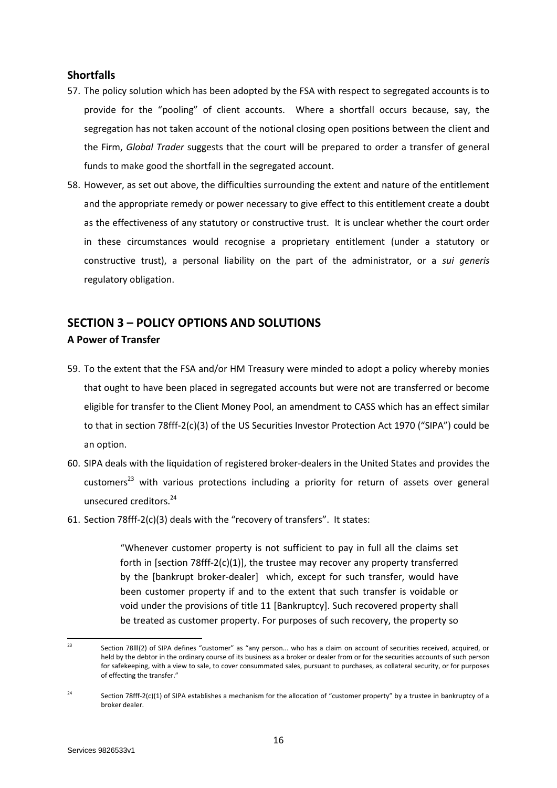# **Shortfalls**

- 57. The policy solution which has been adopted by the FSA with respect to segregated accounts is to provide for the "pooling" of client accounts. Where a shortfall occurs because, say, the segregation has not taken account of the notional closing open positions between the client and the Firm, *Global Trader* suggests that the court will be prepared to order a transfer of general funds to make good the shortfall in the segregated account.
- 58. However, as set out above, the difficulties surrounding the extent and nature of the entitlement and the appropriate remedy or power necessary to give effect to this entitlement create a doubt as the effectiveness of any statutory or constructive trust. It is unclear whether the court order in these circumstances would recognise a proprietary entitlement (under a statutory or constructive trust), a personal liability on the part of the administrator, or a *sui generis* regulatory obligation.

# **SECTION 3 – POLICY OPTIONS AND SOLUTIONS**

# **A Power of Transfer**

- 59. To the extent that the FSA and/or HM Treasury were minded to adopt a policy whereby monies that ought to have been placed in segregated accounts but were not are transferred or become eligible for transfer to the Client Money Pool, an amendment to CASS which has an effect similar to that in section 78fff-2(c)(3) of the US Securities Investor Protection Act 1970 ("SIPA") could be an option.
- 60. SIPA deals with the liquidation of registered broker-dealers in the United States and provides the customers $^{23}$  with various protections including a priority for return of assets over general unsecured creditors.<sup>24</sup>
- 61. Section 78fff-2(c)(3) deals with the "recovery of transfers". It states:

"Whenever customer property is not sufficient to pay in full all the claims set forth in [section 78fff-2(c)(1)], the trustee may recover any property transferred by the [bankrupt broker-dealer] which, except for such transfer, would have been customer property if and to the extent that such transfer is voidable or void under the provisions of title 11 [Bankruptcy]. Such recovered property shall be treated as customer property. For purposes of such recovery, the property so

 $2<sup>3</sup>$ Section 78lll(2) of SIPA defines "customer" as "any person... who has a claim on account of securities received, acquired, or held by the debtor in the ordinary course of its business as a broker or dealer from or for the securities accounts of such person for safekeeping, with a view to sale, to cover consummated sales, pursuant to purchases, as collateral security, or for purposes of effecting the transfer."

<sup>&</sup>lt;sup>24</sup> Section 78fff-2(c)(1) of SIPA establishes a mechanism for the allocation of "customer property" by a trustee in bankruptcy of a broker dealer.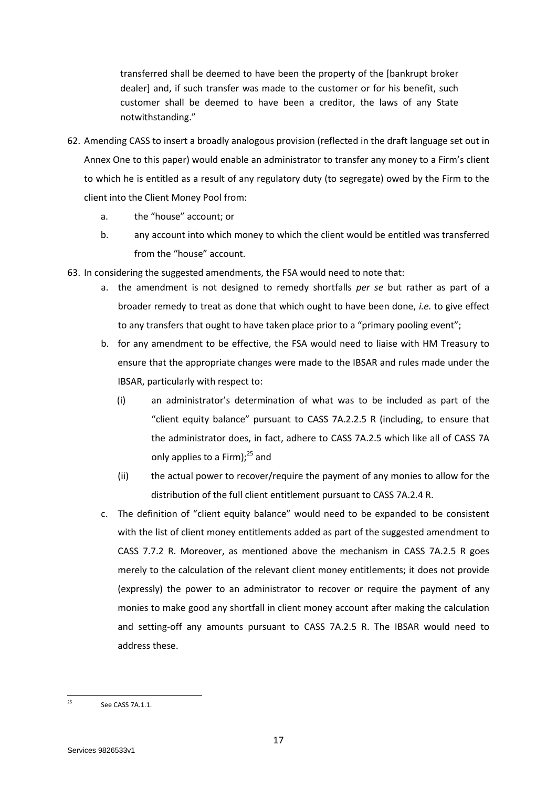transferred shall be deemed to have been the property of the [bankrupt broker dealer] and, if such transfer was made to the customer or for his benefit, such customer shall be deemed to have been a creditor, the laws of any State notwithstanding."

- 62. Amending CASS to insert a broadly analogous provision (reflected in the draft language set out in Annex One to this paper) would enable an administrator to transfer any money to a Firm's client to which he is entitled as a result of any regulatory duty (to segregate) owed by the Firm to the client into the Client Money Pool from:
	- a. the "house" account; or
	- b. any account into which money to which the client would be entitled was transferred from the "house" account.
- 63. In considering the suggested amendments, the FSA would need to note that:
	- a. the amendment is not designed to remedy shortfalls *per se* but rather as part of a broader remedy to treat as done that which ought to have been done, *i.e.* to give effect to any transfers that ought to have taken place prior to a "primary pooling event";
	- b. for any amendment to be effective, the FSA would need to liaise with HM Treasury to ensure that the appropriate changes were made to the IBSAR and rules made under the IBSAR, particularly with respect to:
		- (i) an administrator's determination of what was to be included as part of the "client equity balance" pursuant to CASS 7A.2.2.5 R (including, to ensure that the administrator does, in fact, adhere to CASS 7A.2.5 which like all of CASS 7A only applies to a Firm); $^{25}$  and
		- (ii) the actual power to recover/require the payment of any monies to allow for the distribution of the full client entitlement pursuant to CASS 7A.2.4 R.
	- c. The definition of "client equity balance" would need to be expanded to be consistent with the list of client money entitlements added as part of the suggested amendment to CASS 7.7.2 R. Moreover, as mentioned above the mechanism in CASS 7A.2.5 R goes merely to the calculation of the relevant client money entitlements; it does not provide (expressly) the power to an administrator to recover or require the payment of any monies to make good any shortfall in client money account after making the calculation and setting-off any amounts pursuant to CASS 7A.2.5 R. The IBSAR would need to address these.

 $25$ See CASS 7A.1.1.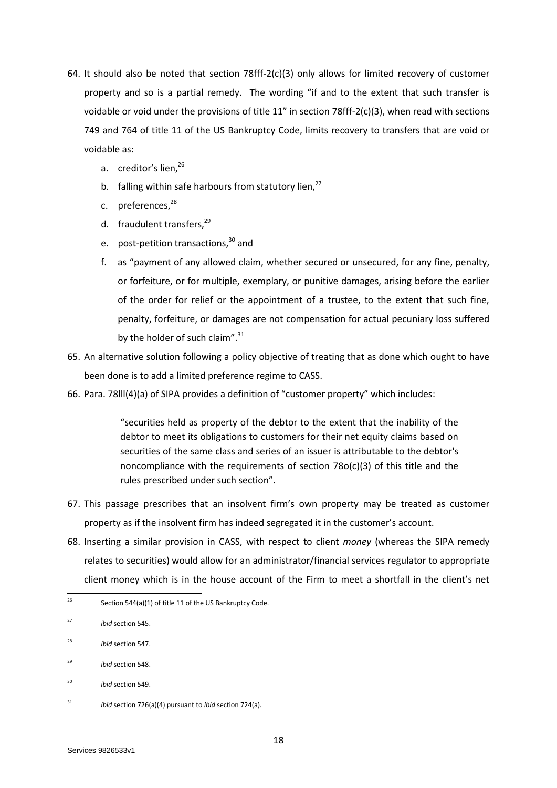- 64. It should also be noted that section 78fff-2(c)(3) only allows for limited recovery of customer property and so is a partial remedy. The wording "if and to the extent that such transfer is voidable or void under the provisions of title 11" in section 78fff-2(c)(3), when read with sections 749 and 764 of title 11 of the US Bankruptcy Code, limits recovery to transfers that are void or voidable as:
	- a. creditor's lien,<sup>26</sup>
	- b. falling within safe harbours from statutory lien,<sup>27</sup>
	- c. preferences.<sup>28</sup>
	- d. fraudulent transfers,<sup>29</sup>
	- e. post-petition transactions, $30$  and
	- f. as "payment of any allowed claim, whether secured or unsecured, for any fine, penalty, or forfeiture, or for multiple, exemplary, or punitive damages, arising before the earlier of the order for relief or the appointment of a trustee, to the extent that such fine, penalty, forfeiture, or damages are not compensation for actual pecuniary loss suffered by the holder of such claim".<sup>31</sup>
- 65. An alternative solution following a policy objective of treating that as done which ought to have been done is to add a limited preference regime to CASS.
- 66. Para. 78lll(4)(a) of SIPA provides a definition of "customer property" which includes:

"securities held as property of the debtor to the extent that the inability of the debtor to meet its obligations to customers for their net equity claims based on securities of the same class and series of an issuer is attributable to the debtor's noncompliance with the requirements of section  $78o(c)(3)$  of this title and the rules prescribed under such section".

- 67. This passage prescribes that an insolvent firm's own property may be treated as customer property as if the insolvent firm has indeed segregated it in the customer's account.
- 68. Inserting a similar provision in CASS, with respect to client *money* (whereas the SIPA remedy relates to securities) would allow for an administrator/financial services regulator to appropriate client money which is in the house account of the Firm to meet a shortfall in the client's net

<sup>29</sup> *ibid* section 548.

<sup>26</sup> Section 544(a)(1) of title 11 of the US Bankruptcy Code.

<sup>27</sup> *ibid* section 545.

<sup>28</sup> *ibid* section 547.

<sup>30</sup> *ibid* section 549.

<sup>31</sup> *ibid* section 726(a)(4) pursuant to *ibid* section 724(a).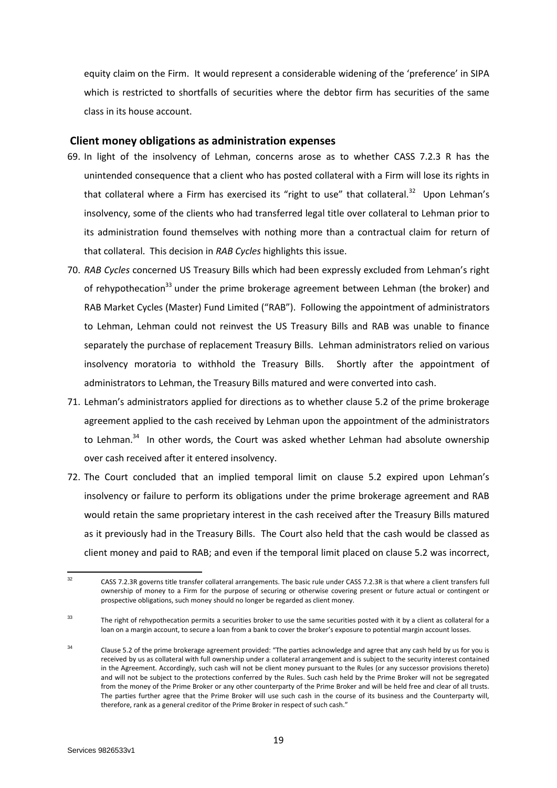equity claim on the Firm. It would represent a considerable widening of the 'preference' in SIPA which is restricted to shortfalls of securities where the debtor firm has securities of the same class in its house account.

## **Client money obligations as administration expenses**

- 69. In light of the insolvency of Lehman, concerns arose as to whether CASS 7.2.3 R has the unintended consequence that a client who has posted collateral with a Firm will lose its rights in that collateral where a Firm has exercised its "right to use" that collateral.<sup>32</sup> Upon Lehman's insolvency, some of the clients who had transferred legal title over collateral to Lehman prior to its administration found themselves with nothing more than a contractual claim for return of that collateral. This decision in *RAB Cycles* highlights this issue.
- 70. *RAB Cycles* concerned US Treasury Bills which had been expressly excluded from Lehman's right of rehypothecation<sup>33</sup> under the prime brokerage agreement between Lehman (the broker) and RAB Market Cycles (Master) Fund Limited ("RAB"). Following the appointment of administrators to Lehman, Lehman could not reinvest the US Treasury Bills and RAB was unable to finance separately the purchase of replacement Treasury Bills. Lehman administrators relied on various insolvency moratoria to withhold the Treasury Bills. Shortly after the appointment of administrators to Lehman, the Treasury Bills matured and were converted into cash.
- 71. Lehman's administrators applied for directions as to whether clause 5.2 of the prime brokerage agreement applied to the cash received by Lehman upon the appointment of the administrators to Lehman.<sup>34</sup> In other words, the Court was asked whether Lehman had absolute ownership over cash received after it entered insolvency.
- 72. The Court concluded that an implied temporal limit on clause 5.2 expired upon Lehman's insolvency or failure to perform its obligations under the prime brokerage agreement and RAB would retain the same proprietary interest in the cash received after the Treasury Bills matured as it previously had in the Treasury Bills. The Court also held that the cash would be classed as client money and paid to RAB; and even if the temporal limit placed on clause 5.2 was incorrect,

 $32$ <sup>32</sup> CASS 7.2.3R governs title transfer collateral arrangements. The basic rule under CASS 7.2.3R is that where a client transfers full ownership of money to a Firm for the purpose of securing or otherwise covering present or future actual or contingent or prospective obligations, such money should no longer be regarded as client money.

<sup>&</sup>lt;sup>33</sup> The right of rehypothecation permits a securities broker to use the same securities posted with it by a client as collateral for a loan on a margin account, to secure a loan from a bank to cover the broker's exposure to potential margin account losses.

<sup>34</sup> Clause 5.2 of the prime brokerage agreement provided: "The parties acknowledge and agree that any cash held by us for you is received by us as collateral with full ownership under a collateral arrangement and is subject to the security interest contained in the Agreement. Accordingly, such cash will not be client money pursuant to the Rules (or any successor provisions thereto) and will not be subject to the protections conferred by the Rules. Such cash held by the Prime Broker will not be segregated from the money of the Prime Broker or any other counterparty of the Prime Broker and will be held free and clear of all trusts. The parties further agree that the Prime Broker will use such cash in the course of its business and the Counterparty will, therefore, rank as a general creditor of the Prime Broker in respect of such cash."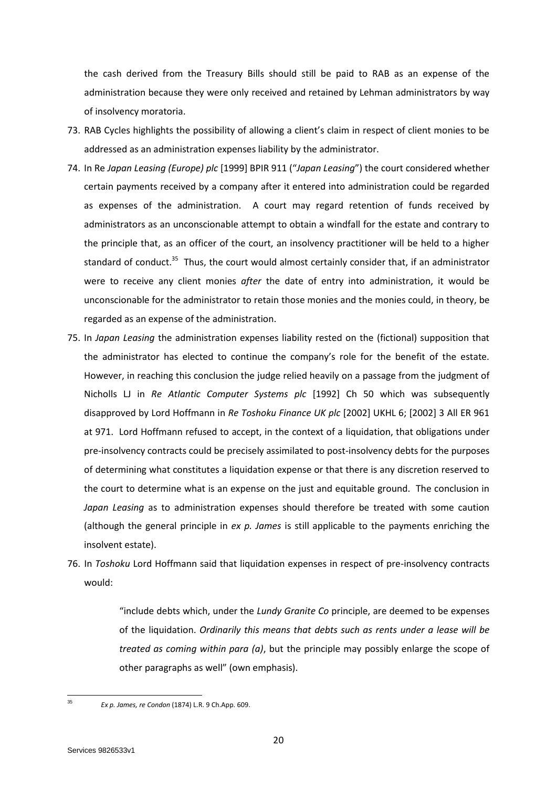the cash derived from the Treasury Bills should still be paid to RAB as an expense of the administration because they were only received and retained by Lehman administrators by way of insolvency moratoria.

- 73. RAB Cycles highlights the possibility of allowing a client's claim in respect of client monies to be addressed as an administration expenses liability by the administrator.
- 74. In Re *Japan Leasing (Europe) plc* [1999] BPIR 911 ("*Japan Leasing*") the court considered whether certain payments received by a company after it entered into administration could be regarded as expenses of the administration. A court may regard retention of funds received by administrators as an unconscionable attempt to obtain a windfall for the estate and contrary to the principle that, as an officer of the court, an insolvency practitioner will be held to a higher standard of conduct.<sup>35</sup> Thus, the court would almost certainly consider that, if an administrator were to receive any client monies *after* the date of entry into administration, it would be unconscionable for the administrator to retain those monies and the monies could, in theory, be regarded as an expense of the administration.
- 75. In *Japan Leasing* the administration expenses liability rested on the (fictional) supposition that the administrator has elected to continue the company's role for the benefit of the estate. However, in reaching this conclusion the judge relied heavily on a passage from the judgment of Nicholls LJ in *Re Atlantic Computer Systems plc* [1992] Ch 50 which was subsequently disapproved by Lord Hoffmann in *Re Toshoku Finance UK plc* [2002] UKHL 6; [2002] 3 All ER 961 at 971. Lord Hoffmann refused to accept, in the context of a liquidation, that obligations under pre-insolvency contracts could be precisely assimilated to post-insolvency debts for the purposes of determining what constitutes a liquidation expense or that there is any discretion reserved to the court to determine what is an expense on the just and equitable ground. The conclusion in *Japan Leasing* as to administration expenses should therefore be treated with some caution (although the general principle in *ex p. James* is still applicable to the payments enriching the insolvent estate).
- 76. In *Toshoku* Lord Hoffmann said that liquidation expenses in respect of pre-insolvency contracts would:

"include debts which, under the *Lundy Granite Co* principle, are deemed to be expenses of the liquidation. *Ordinarily this means that debts such as rents under a lease will be treated as coming within para (a)*, but the principle may possibly enlarge the scope of other paragraphs as well" (own emphasis).

 $35$ 

<sup>35</sup> *Ex p. James, re Condon* (1874) L.R. 9 Ch.App. 609.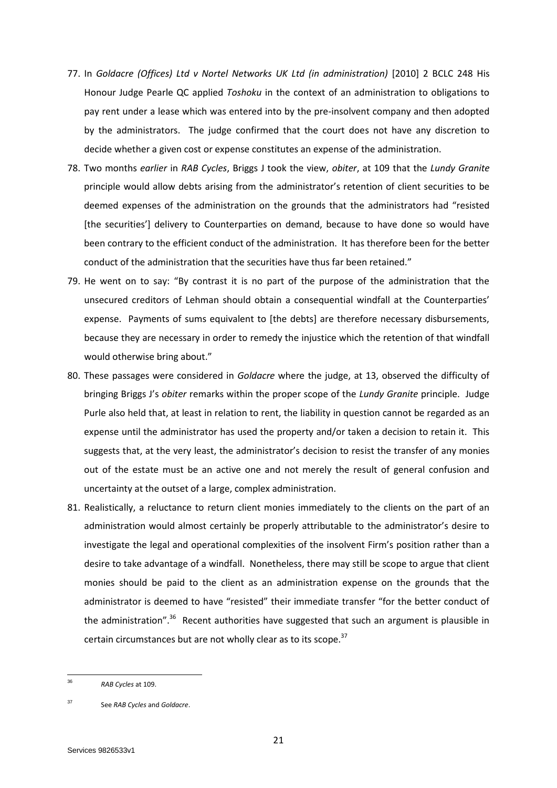- 77. In *Goldacre (Offices) Ltd v Nortel Networks UK Ltd (in administration)* [2010] 2 BCLC 248 His Honour Judge Pearle QC applied *Toshoku* in the context of an administration to obligations to pay rent under a lease which was entered into by the pre-insolvent company and then adopted by the administrators. The judge confirmed that the court does not have any discretion to decide whether a given cost or expense constitutes an expense of the administration.
- 78. Two months *earlier* in *RAB Cycles*, Briggs J took the view, *obiter*, at 109 that the *Lundy Granite* principle would allow debts arising from the administrator's retention of client securities to be deemed expenses of the administration on the grounds that the administrators had "resisted [the securities'] delivery to Counterparties on demand, because to have done so would have been contrary to the efficient conduct of the administration. It has therefore been for the better conduct of the administration that the securities have thus far been retained."
- 79. He went on to say: "By contrast it is no part of the purpose of the administration that the unsecured creditors of Lehman should obtain a consequential windfall at the Counterparties' expense. Payments of sums equivalent to [the debts] are therefore necessary disbursements, because they are necessary in order to remedy the injustice which the retention of that windfall would otherwise bring about."
- 80. These passages were considered in *Goldacre* where the judge, at 13, observed the difficulty of bringing Briggs J's *obiter* remarks within the proper scope of the *Lundy Granite* principle. Judge Purle also held that, at least in relation to rent, the liability in question cannot be regarded as an expense until the administrator has used the property and/or taken a decision to retain it. This suggests that, at the very least, the administrator's decision to resist the transfer of any monies out of the estate must be an active one and not merely the result of general confusion and uncertainty at the outset of a large, complex administration.
- 81. Realistically, a reluctance to return client monies immediately to the clients on the part of an administration would almost certainly be properly attributable to the administrator's desire to investigate the legal and operational complexities of the insolvent Firm's position rather than a desire to take advantage of a windfall. Nonetheless, there may still be scope to argue that client monies should be paid to the client as an administration expense on the grounds that the administrator is deemed to have "resisted" their immediate transfer "for the better conduct of the administration".<sup>36</sup> Recent authorities have suggested that such an argument is plausible in certain circumstances but are not wholly clear as to its scope.<sup>37</sup>

 $\frac{1}{36}$ *RAB Cycles* at 109.

<sup>37</sup> See *RAB Cycles* and *Goldacre*.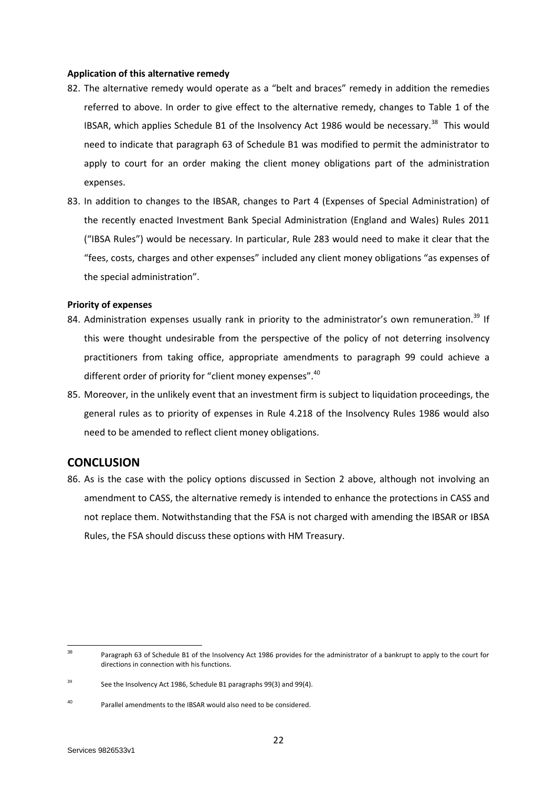#### **Application of this alternative remedy**

- 82. The alternative remedy would operate as a "belt and braces" remedy in addition the remedies referred to above. In order to give effect to the alternative remedy, changes to Table 1 of the IBSAR, which applies Schedule B1 of the Insolvency Act 1986 would be necessary.<sup>38</sup> This would need to indicate that paragraph 63 of Schedule B1 was modified to permit the administrator to apply to court for an order making the client money obligations part of the administration expenses.
- 83. In addition to changes to the IBSAR, changes to Part 4 (Expenses of Special Administration) of the recently enacted Investment Bank Special Administration (England and Wales) Rules 2011 ("IBSA Rules") would be necessary. In particular, Rule 283 would need to make it clear that the "fees, costs, charges and other expenses" included any client money obligations "as expenses of the special administration".

## **Priority of expenses**

- 84. Administration expenses usually rank in priority to the administrator's own remuneration.<sup>39</sup> If this were thought undesirable from the perspective of the policy of not deterring insolvency practitioners from taking office, appropriate amendments to paragraph 99 could achieve a different order of priority for "client money expenses".<sup>40</sup>
- 85. Moreover, in the unlikely event that an investment firm is subject to liquidation proceedings, the general rules as to priority of expenses in Rule 4.218 of the Insolvency Rules 1986 would also need to be amended to reflect client money obligations.

# **CONCLUSION**

86. As is the case with the policy options discussed in Section 2 above, although not involving an amendment to CASS, the alternative remedy is intended to enhance the protections in CASS and not replace them. Notwithstanding that the FSA is not charged with amending the IBSAR or IBSA Rules, the FSA should discuss these options with HM Treasury.

<sup>38</sup> Paragraph 63 of Schedule B1 of the Insolvency Act 1986 provides for the administrator of a bankrupt to apply to the court for directions in connection with his functions.

<sup>&</sup>lt;sup>39</sup> See the Insolvency Act 1986, Schedule B1 paragraphs 99(3) and 99(4).

<sup>40</sup> Parallel amendments to the IBSAR would also need to be considered.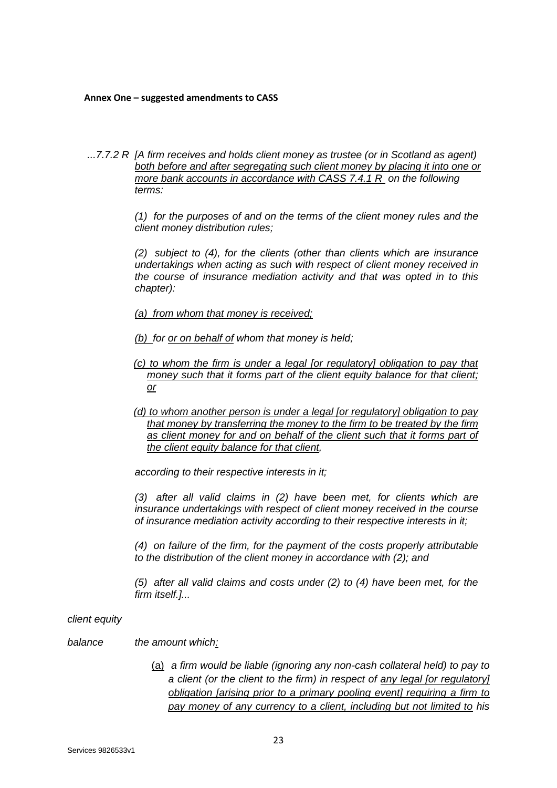### **Annex One – suggested amendments to CASS**

*...7.7.2 R [A [firm](http://fsahandbook.info/FSA/glossary-html/handbook/Glossary/F?definition=G430) receives and holds [client money](http://fsahandbook.info/FSA/glossary-html/handbook/Glossary/C?definition=G160) as trustee (or in Scotland as agent)*  both before and after segregating such client money by placing it into one or *more bank accounts in accordance with CASS 7.4.1 R on the following terms:* 

> *(1) for the purposes of and on the terms of the [client money rules](http://fsahandbook.info/FSA/glossary-html/handbook/Glossary/C?definition=G162) and the [client money distribution rules;](http://fsahandbook.info/FSA/glossary-html/handbook/Glossary/C?definition=G2598)*

> *(2) subject to (4), for the [clients](http://fsahandbook.info/FSA/glossary-html/handbook/Glossary/C?definition=G156) (other than [clients](http://fsahandbook.info/FSA/glossary-html/handbook/Glossary/C?definition=G156) which are [insurance](http://fsahandbook.info/FSA/glossary-html/handbook/Glossary/I?definition=G568)  [undertakings](http://fsahandbook.info/FSA/glossary-html/handbook/Glossary/I?definition=G568) when acting as such with respect of [client money](http://fsahandbook.info/FSA/glossary-html/handbook/Glossary/C?definition=G160) received in the course of [insurance mediation activity](http://fsahandbook.info/FSA/glossary-html/handbook/Glossary/I?definition=G566) and that was opted in to this chapter):*

*(a) from whom that money is received;*

*(b) for or on behalf of whom that [money](http://fsahandbook.info/FSA/glossary-html/handbook/Glossary/M?definition=G725) is held;*

- *(c) to whom the firm is under a legal [or regulatory] obligation to pay that money such that it forms part of the client equity balance for that client; or*
- *(d) to whom another person is under a legal [or regulatory] obligation to pay that money by transferring the money to the firm to be treated by the firm as client money for and on behalf of the client such that it forms part of the client equity balance for that client,*

*according to their respective interests in it;* 

*(3) after all valid claims in (2) have been met, for [clients](http://fsahandbook.info/FSA/glossary-html/handbook/Glossary/C?definition=G156) which are [insurance undertakings](http://fsahandbook.info/FSA/glossary-html/handbook/Glossary/I?definition=G568) with respect of [client money](http://fsahandbook.info/FSA/glossary-html/handbook/Glossary/C?definition=G160) received in the course of [insurance mediation activity](http://fsahandbook.info/FSA/glossary-html/handbook/Glossary/I?definition=G566) according to their respective interests in it;* 

*(4) on [failure](http://fsahandbook.info/FSA/glossary-html/handbook/Glossary/F?definition=G406) of the [firm,](http://fsahandbook.info/FSA/glossary-html/handbook/Glossary/F?definition=G430) for the payment of the costs properly attributable to the distribution of the [client money](http://fsahandbook.info/FSA/glossary-html/handbook/Glossary/C?definition=G160) in accordance with (2); and* 

*(5) after all valid claims and costs under (2) to (4) have been met, for the [firm](http://fsahandbook.info/FSA/glossary-html/handbook/Glossary/F?definition=G430) itself.]...* 

#### *client equity*

## *balance the amount which:*

(a) *a [firm](http://fsahandbook.info/FSA/glossary-html/handbook/Glossary/F?definition=G430) would be liable (ignoring any non-cash [collateral](http://fsahandbook.info/FSA/glossary-html/handbook/Glossary/C?definition=G175) held) to pay to a [client](http://fsahandbook.info/FSA/glossary-html/handbook/Glossary/C?definition=G156) (or the [client](http://fsahandbook.info/FSA/glossary-html/handbook/Glossary/C?definition=G156) to the [firm\)](http://fsahandbook.info/FSA/glossary-html/handbook/Glossary/F?definition=G430) in respect of any legal [or regulatory] obligation [arising prior to a primary pooling event] requiring a firm to pay money of any currency to a client, including but not limited to hi[s](http://fsahandbook.info/FSA/glossary-html/handbook/Glossary/M?definition=G690)*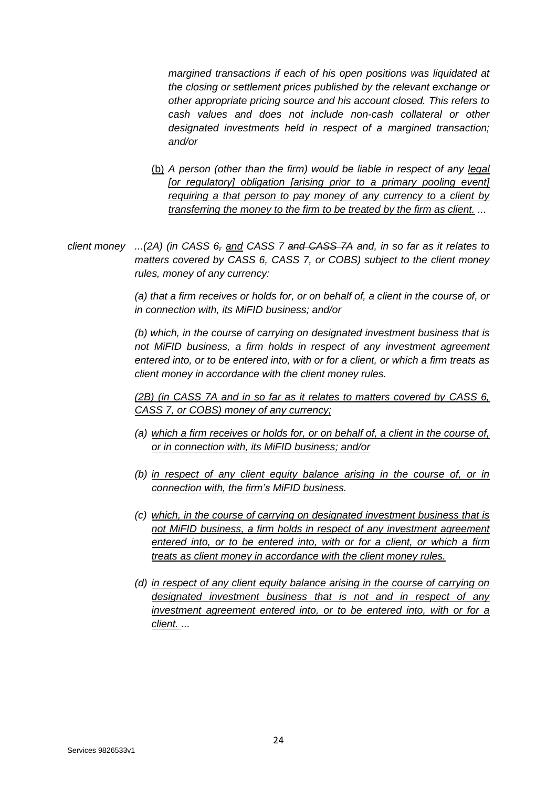*margined transactions if each of his open positions was liquidated at the closing or settlement prices published by the relevant exchange or other appropriate pricing source and his account closed. This refers to cash values and does not include non-cash [collateral](http://fsahandbook.info/FSA/glossary-html/handbook/Glossary/C?definition=G175) or othe[r](http://fsahandbook.info/FSA/glossary-html/handbook/Glossary/D?definition=G282) [designated investments](http://fsahandbook.info/FSA/glossary-html/handbook/Glossary/D?definition=G282) held in respect of a [margined transaction;](http://fsahandbook.info/FSA/glossary-html/handbook/Glossary/M?definition=G690) and/or*

- (b) *A person (other than the firm) would be liable in respect of any legal*  [or regulatory] obligation [arising prior to a primary pooling event] *requiring a that person to pay money of any currency to a client by transferring the money to the firm to be treated by the firm as client. ...*
- *client money ...(2A) (in [CASS 6,](http://fsahandbook.info/FSA/html/handbook/CASS/6#DES1) and [CASS 7](http://fsahandbook.info/FSA/html/handbook/CASS/7#DES1) and [CASS 7A](http://fsahandbook.info/FSA/html/handbook/CASS/7A#DES1) and, in so far as it relates to matters covered by [CASS 6,](http://fsahandbook.info/FSA/html/handbook/CASS/6#DES1) [CASS 7,](http://fsahandbook.info/FSA/html/handbook/CASS/7#DES1) or [COBS\)](http://fsahandbook.info/FSA/glossary-html/handbook/Glossary/C?definition=G2360) subject to the [client money](http://fsahandbook.info/FSA/glossary-html/handbook/Glossary/C?definition=G162)  [rules,](http://fsahandbook.info/FSA/glossary-html/handbook/Glossary/C?definition=G162) [money](http://fsahandbook.info/FSA/glossary-html/handbook/Glossary/M?definition=G725) of any currency:*

*(a) that a [firm](http://fsahandbook.info/FSA/glossary-html/handbook/Glossary/F?definition=G430) receives or holds for, or on behalf of, a client in the course of, or in connection with, its [MiFID business;](http://fsahandbook.info/FSA/glossary-html/handbook/Glossary/M?definition=G1976) and/or* 

*(b) which, in the course of carrying on [designated investment business](http://fsahandbook.info/FSA/glossary-html/handbook/Glossary/D?definition=G283) that is not [MiFID business,](http://fsahandbook.info/FSA/glossary-html/handbook/Glossary/M?definition=G1976) a [firm](http://fsahandbook.info/FSA/glossary-html/handbook/Glossary/F?definition=G430) holds in respect of any [investment agreement](http://fsahandbook.info/FSA/glossary-html/handbook/Glossary/I?definition=G592) entered into, or to be entered into, with or for a [client,](http://fsahandbook.info/FSA/glossary-html/handbook/Glossary/C?definition=G156) or which a [firm](http://fsahandbook.info/FSA/glossary-html/handbook/Glossary/F?definition=G430) treats as [client money](http://fsahandbook.info/FSA/glossary-html/handbook/Glossary/C?definition=G160) in accordance with the [client money rules.](http://fsahandbook.info/FSA/glossary-html/handbook/Glossary/C?definition=G162)*

*(2B) (in CASS 7A and in so far as it relates to matters covered by [CASS 6,](http://fsahandbook.info/FSA/html/handbook/CASS/6#DES1) [CASS 7,](http://fsahandbook.info/FSA/html/handbook/CASS/7#DES1) or [COBS\)](http://fsahandbook.info/FSA/glossary-html/handbook/Glossary/C?definition=G2360) money of any currency;*

- *(a) which a [firm](http://fsahandbook.info/FSA/glossary-html/handbook/Glossary/F?definition=G430) receives or holds for, or on behalf of, a client in the course of, or in connection with, its [MiFID business;](http://fsahandbook.info/FSA/glossary-html/handbook/Glossary/M?definition=G1976) and/or*
- *(b) in respect of any client equity balance arising in the course of, or in connection with, the firm's [MiFID business.](http://fsahandbook.info/FSA/glossary-html/handbook/Glossary/M?definition=G1976)*
- *(c) which, in the course of carrying on [designated investment business](http://fsahandbook.info/FSA/glossary-html/handbook/Glossary/D?definition=G283) that is not [MiFID business,](http://fsahandbook.info/FSA/glossary-html/handbook/Glossary/M?definition=G1976) a [firm](http://fsahandbook.info/FSA/glossary-html/handbook/Glossary/F?definition=G430) holds in respect of any [investment agreement](http://fsahandbook.info/FSA/glossary-html/handbook/Glossary/I?definition=G592) entered into, or to be entered into, with or for a [client,](http://fsahandbook.info/FSA/glossary-html/handbook/Glossary/C?definition=G156) or which a [firm](http://fsahandbook.info/FSA/glossary-html/handbook/Glossary/F?definition=G430) treats as [client money](http://fsahandbook.info/FSA/glossary-html/handbook/Glossary/C?definition=G160) in accordance with the [client money rules.](http://fsahandbook.info/FSA/glossary-html/handbook/Glossary/C?definition=G162)*
- *(d) in respect of any client equity balance arising in the course of carrying on [designated investment business](http://fsahandbook.info/FSA/glossary-html/handbook/Glossary/D?definition=G283) that is not and in respect of any [investment agreement](http://fsahandbook.info/FSA/glossary-html/handbook/Glossary/I?definition=G592) entered into, or to be entered into, with or for a [client.](http://fsahandbook.info/FSA/glossary-html/handbook/Glossary/C?definition=G156) ...*